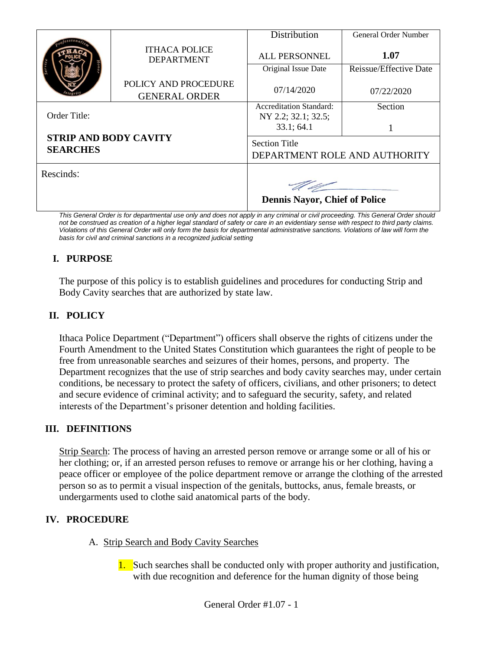|                                                                 | <b>ITHACA POLICE</b><br><b>DEPARTMENT</b>    | Distribution                                          | <b>General Order Number</b> |
|-----------------------------------------------------------------|----------------------------------------------|-------------------------------------------------------|-----------------------------|
|                                                                 |                                              | <b>ALL PERSONNEL</b>                                  | 1.07                        |
|                                                                 |                                              | Original Issue Date                                   | Reissue/Effective Date      |
|                                                                 | POLICY AND PROCEDURE<br><b>GENERAL ORDER</b> | 07/14/2020                                            | 07/22/2020                  |
| Order Title:<br><b>STRIP AND BODY CAVITY</b><br><b>SEARCHES</b> |                                              | <b>Accreditation Standard:</b><br>NY 2.2; 32.1; 32.5; | Section                     |
|                                                                 |                                              | 33.1; 64.1                                            |                             |
|                                                                 |                                              | <b>Section Title</b><br>DEPARTMENT ROLE AND AUTHORITY |                             |
| Rescinds:                                                       |                                              |                                                       |                             |
|                                                                 |                                              | <b>Dennis Nayor, Chief of Police</b>                  |                             |

*This General Order is for departmental use only and does not apply in any criminal or civil proceeding. This General Order should not be construed as creation of a higher legal standard of safety or care in an evidentiary sense with respect to third party claims. Violations of this General Order will only form the basis for departmental administrative sanctions. Violations of law will form the basis for civil and criminal sanctions in a recognized judicial setting*

# **I. PURPOSE**

The purpose of this policy is to establish guidelines and procedures for conducting Strip and Body Cavity searches that are authorized by state law.

## **II. POLICY**

Ithaca Police Department ("Department") officers shall observe the rights of citizens under the Fourth Amendment to the United States Constitution which guarantees the right of people to be free from unreasonable searches and seizures of their homes, persons, and property. The Department recognizes that the use of strip searches and body cavity searches may, under certain conditions, be necessary to protect the safety of officers, civilians, and other prisoners; to detect and secure evidence of criminal activity; and to safeguard the security, safety, and related interests of the Department's prisoner detention and holding facilities.

## **III. DEFINITIONS**

Strip Search: The process of having an arrested person remove or arrange some or all of his or her clothing; or, if an arrested person refuses to remove or arrange his or her clothing, having a peace officer or employee of the police department remove or arrange the clothing of the arrested person so as to permit a visual inspection of the genitals, buttocks, anus, female breasts, or undergarments used to clothe said anatomical parts of the body.

## **IV. PROCEDURE**

- A. Strip Search and Body Cavity Searches
	- 1. Such searches shall be conducted only with proper authority and justification, with due recognition and deference for the human dignity of those being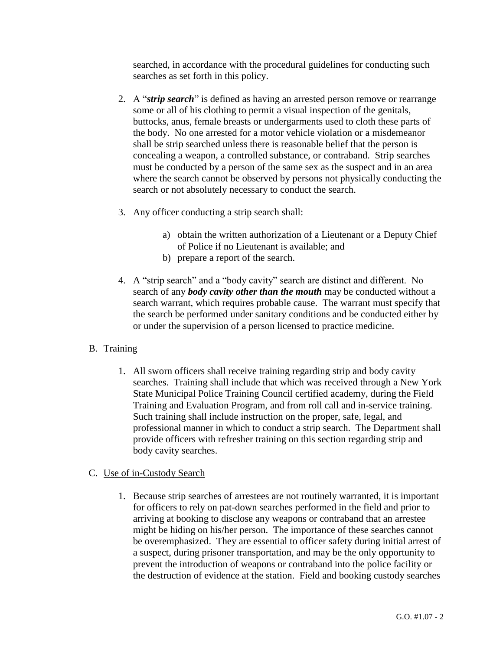searched, in accordance with the procedural guidelines for conducting such searches as set forth in this policy.

- 2. A "*strip search*" is defined as having an arrested person remove or rearrange some or all of his clothing to permit a visual inspection of the genitals, buttocks, anus, female breasts or undergarments used to cloth these parts of the body. No one arrested for a motor vehicle violation or a misdemeanor shall be strip searched unless there is reasonable belief that the person is concealing a weapon, a controlled substance, or contraband. Strip searches must be conducted by a person of the same sex as the suspect and in an area where the search cannot be observed by persons not physically conducting the search or not absolutely necessary to conduct the search.
- 3. Any officer conducting a strip search shall:
	- a) obtain the written authorization of a Lieutenant or a Deputy Chief of Police if no Lieutenant is available; and
	- b) prepare a report of the search.
- 4. A "strip search" and a "body cavity" search are distinct and different. No search of any *body cavity other than the mouth* may be conducted without a search warrant, which requires probable cause. The warrant must specify that the search be performed under sanitary conditions and be conducted either by or under the supervision of a person licensed to practice medicine.

#### B. Training

1. All sworn officers shall receive training regarding strip and body cavity searches. Training shall include that which was received through a New York State Municipal Police Training Council certified academy, during the Field Training and Evaluation Program, and from roll call and in-service training. Such training shall include instruction on the proper, safe, legal, and professional manner in which to conduct a strip search. The Department shall provide officers with refresher training on this section regarding strip and body cavity searches.

#### C. Use of in-Custody Search

1. Because strip searches of arrestees are not routinely warranted, it is important for officers to rely on pat-down searches performed in the field and prior to arriving at booking to disclose any weapons or contraband that an arrestee might be hiding on his/her person. The importance of these searches cannot be overemphasized. They are essential to officer safety during initial arrest of a suspect, during prisoner transportation, and may be the only opportunity to prevent the introduction of weapons or contraband into the police facility or the destruction of evidence at the station. Field and booking custody searches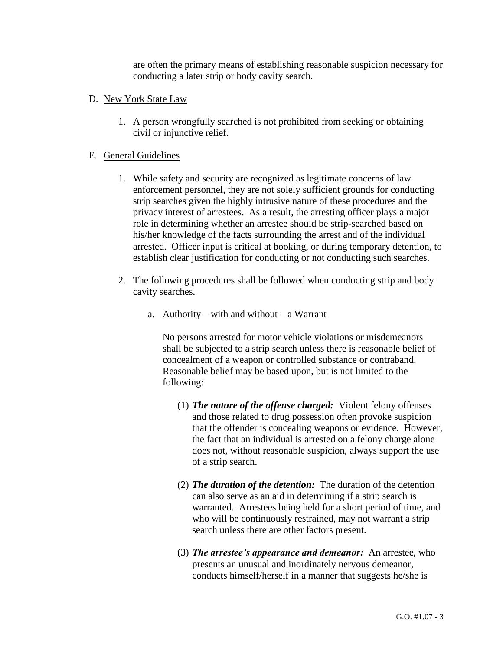are often the primary means of establishing reasonable suspicion necessary for conducting a later strip or body cavity search.

- D. New York State Law
	- 1. A person wrongfully searched is not prohibited from seeking or obtaining civil or injunctive relief.

### E. General Guidelines

- 1. While safety and security are recognized as legitimate concerns of law enforcement personnel, they are not solely sufficient grounds for conducting strip searches given the highly intrusive nature of these procedures and the privacy interest of arrestees. As a result, the arresting officer plays a major role in determining whether an arrestee should be strip-searched based on his/her knowledge of the facts surrounding the arrest and of the individual arrested. Officer input is critical at booking, or during temporary detention, to establish clear justification for conducting or not conducting such searches.
- 2. The following procedures shall be followed when conducting strip and body cavity searches.
	- a. Authority with and without a Warrant

No persons arrested for motor vehicle violations or misdemeanors shall be subjected to a strip search unless there is reasonable belief of concealment of a weapon or controlled substance or contraband. Reasonable belief may be based upon, but is not limited to the following:

- (1) *The nature of the offense charged:* Violent felony offenses and those related to drug possession often provoke suspicion that the offender is concealing weapons or evidence. However, the fact that an individual is arrested on a felony charge alone does not, without reasonable suspicion, always support the use of a strip search.
- (2) *The duration of the detention:* The duration of the detention can also serve as an aid in determining if a strip search is warranted. Arrestees being held for a short period of time, and who will be continuously restrained, may not warrant a strip search unless there are other factors present.
- (3) *The arrestee's appearance and demeanor:* An arrestee, who presents an unusual and inordinately nervous demeanor, conducts himself/herself in a manner that suggests he/she is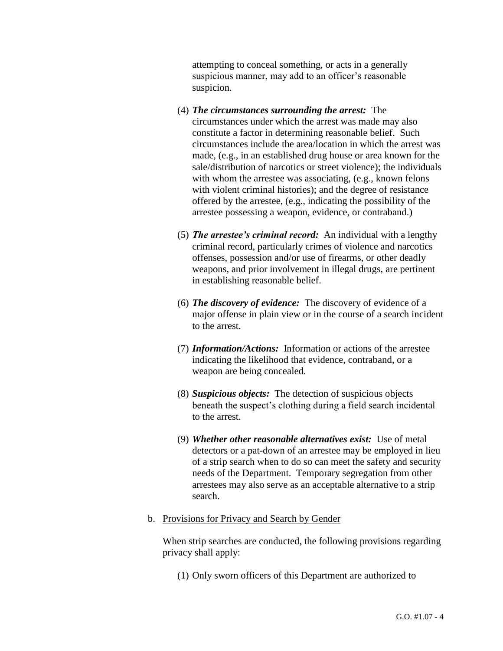attempting to conceal something, or acts in a generally suspicious manner, may add to an officer's reasonable suspicion.

- (4) *The circumstances surrounding the arrest:* The circumstances under which the arrest was made may also constitute a factor in determining reasonable belief. Such circumstances include the area/location in which the arrest was made, (e.g., in an established drug house or area known for the sale/distribution of narcotics or street violence); the individuals with whom the arrestee was associating, (e.g., known felons with violent criminal histories); and the degree of resistance offered by the arrestee, (e.g., indicating the possibility of the arrestee possessing a weapon, evidence, or contraband.)
- (5) *The arrestee's criminal record:* An individual with a lengthy criminal record, particularly crimes of violence and narcotics offenses, possession and/or use of firearms, or other deadly weapons, and prior involvement in illegal drugs, are pertinent in establishing reasonable belief.
- (6) *The discovery of evidence:* The discovery of evidence of a major offense in plain view or in the course of a search incident to the arrest.
- (7) *Information/Actions:* Information or actions of the arrestee indicating the likelihood that evidence, contraband, or a weapon are being concealed.
- (8) *Suspicious objects:* The detection of suspicious objects beneath the suspect's clothing during a field search incidental to the arrest.
- (9) *Whether other reasonable alternatives exist:* Use of metal detectors or a pat-down of an arrestee may be employed in lieu of a strip search when to do so can meet the safety and security needs of the Department. Temporary segregation from other arrestees may also serve as an acceptable alternative to a strip search.
- b. Provisions for Privacy and Search by Gender

When strip searches are conducted, the following provisions regarding privacy shall apply:

(1) Only sworn officers of this Department are authorized to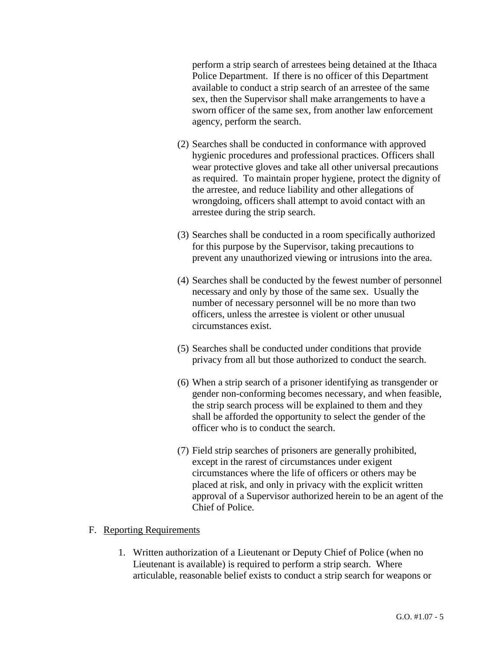perform a strip search of arrestees being detained at the Ithaca Police Department. If there is no officer of this Department available to conduct a strip search of an arrestee of the same sex, then the Supervisor shall make arrangements to have a sworn officer of the same sex, from another law enforcement agency, perform the search.

- (2) Searches shall be conducted in conformance with approved hygienic procedures and professional practices. Officers shall wear protective gloves and take all other universal precautions as required. To maintain proper hygiene, protect the dignity of the arrestee, and reduce liability and other allegations of wrongdoing, officers shall attempt to avoid contact with an arrestee during the strip search.
- (3) Searches shall be conducted in a room specifically authorized for this purpose by the Supervisor, taking precautions to prevent any unauthorized viewing or intrusions into the area.
- (4) Searches shall be conducted by the fewest number of personnel necessary and only by those of the same sex. Usually the number of necessary personnel will be no more than two officers, unless the arrestee is violent or other unusual circumstances exist.
- (5) Searches shall be conducted under conditions that provide privacy from all but those authorized to conduct the search.
- (6) When a strip search of a prisoner identifying as transgender or gender non-conforming becomes necessary, and when feasible, the strip search process will be explained to them and they shall be afforded the opportunity to select the gender of the officer who is to conduct the search.
- (7) Field strip searches of prisoners are generally prohibited, except in the rarest of circumstances under exigent circumstances where the life of officers or others may be placed at risk, and only in privacy with the explicit written approval of a Supervisor authorized herein to be an agent of the Chief of Police.

#### F. Reporting Requirements

1. Written authorization of a Lieutenant or Deputy Chief of Police (when no Lieutenant is available) is required to perform a strip search. Where articulable, reasonable belief exists to conduct a strip search for weapons or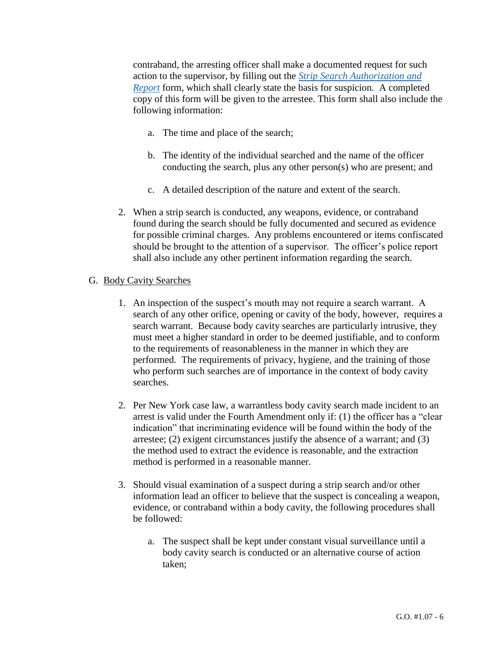contraband, the arresting officer shall make a documented request for such action to the supervisor, by filling out the *[Strip Search Authorization](https://powerdms.com/link/IthacaCPD/document/?id=1767310) and [Report](https://powerdms.com/link/IthacaCPD/document/?id=1767310)* form, which shall clearly state the basis for suspicion. A completed copy of this form will be given to the arrestee. This form shall also include the following information:

- a. The time and place of the search;
- b. The identity of the individual searched and the name of the officer conducting the search, plus any other person(s) who are present; and
- c. A detailed description of the nature and extent of the search.
- 2. When a strip search is conducted, any weapons, evidence, or contraband found during the search should be fully documented and secured as evidence for possible criminal charges. Any problems encountered or items confiscated should be brought to the attention of a supervisor. The officer's police report shall also include any other pertinent information regarding the search.

#### G. Body Cavity Searches

- 1. An inspection of the suspect's mouth may not require a search warrant. A search of any other orifice, opening or cavity of the body, however, requires a search warrant. Because body cavity searches are particularly intrusive, they must meet a higher standard in order to be deemed justifiable, and to conform to the requirements of reasonableness in the manner in which they are performed. The requirements of privacy, hygiene, and the training of those who perform such searches are of importance in the context of body cavity searches.
- 2. Per New York case law, a warrantless body cavity search made incident to an arrest is valid under the Fourth Amendment only if: (1) the officer has a "clear indication" that incriminating evidence will be found within the body of the arrestee; (2) exigent circumstances justify the absence of a warrant; and (3) the method used to extract the evidence is reasonable, and the extraction method is performed in a reasonable manner.
- 3. Should visual examination of a suspect during a strip search and/or other information lead an officer to believe that the suspect is concealing a weapon, evidence, or contraband within a body cavity, the following procedures shall be followed:
	- a. The suspect shall be kept under constant visual surveillance until a body cavity search is conducted or an alternative course of action taken;